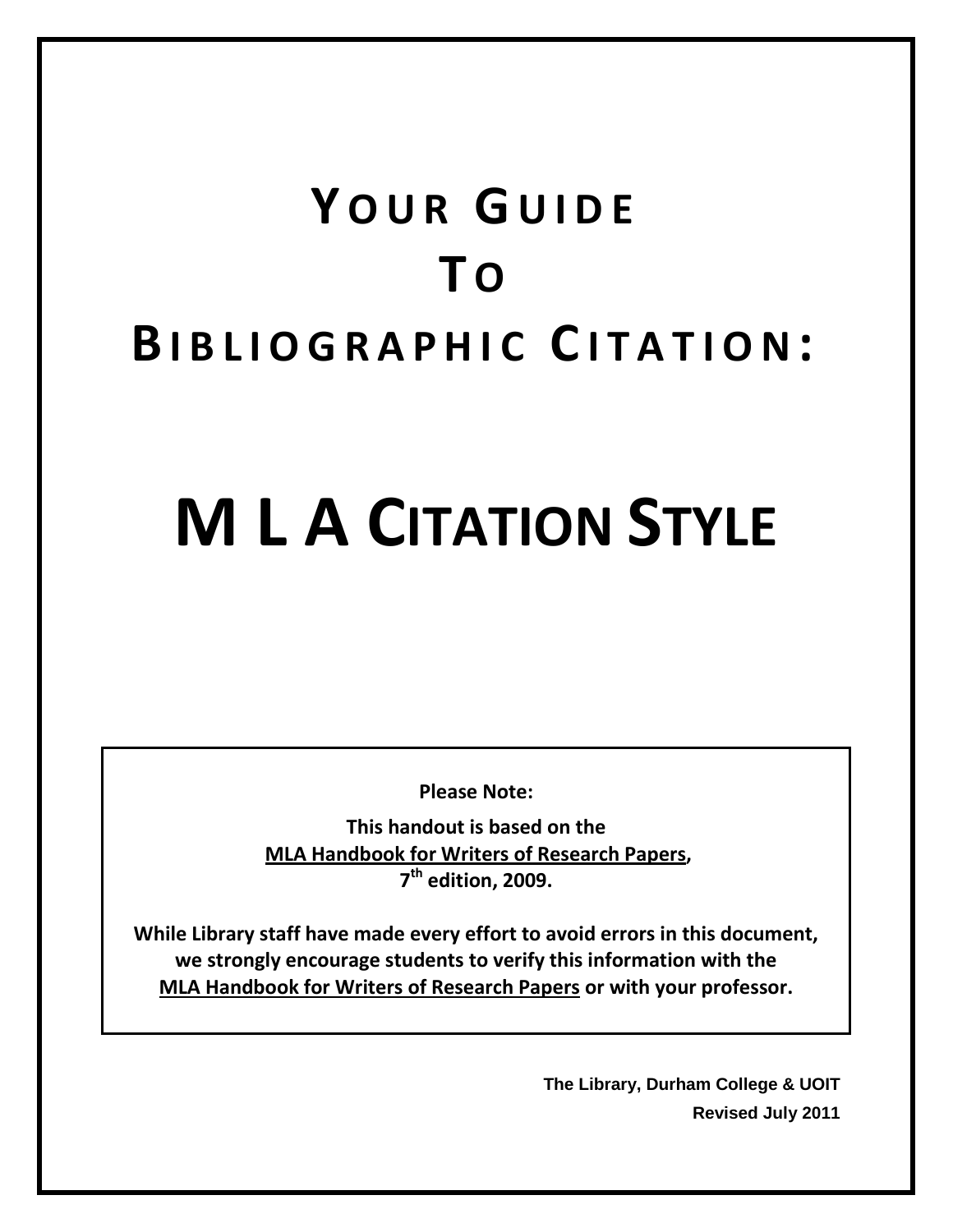# **Y OUR G UIDE T O BIBLIOGRAPHIC C ITATION :**

# **M L A CITATION STYLE**

**Please Note:**

**This handout is based on the MLA Handbook for Writers of Research Papers, 7th edition, 2009.**

**While Library staff have made every effort to avoid errors in this document, we strongly encourage students to verify this information with the MLA Handbook for Writers of Research Papers or with your professor.**

> **The Library, Durham College & UOIT Revised July 2011**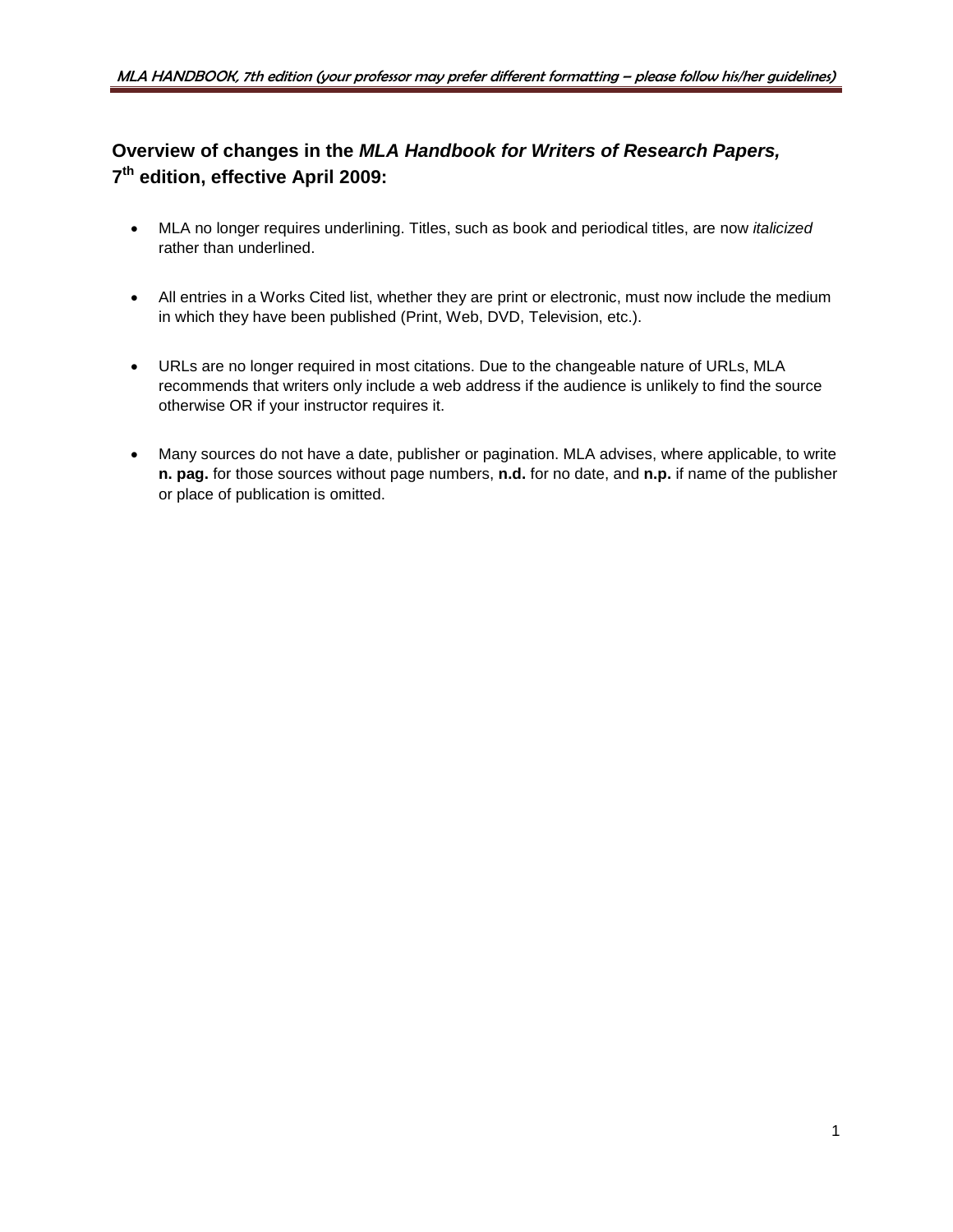# **Overview of changes in the** *MLA Handbook for Writers of Research Papers,*  **7th edition, effective April 2009:**

- MLA no longer requires underlining. Titles, such as book and periodical titles, are now *italicized* rather than underlined.
- All entries in a Works Cited list, whether they are print or electronic, must now include the medium in which they have been published (Print, Web, DVD, Television, etc.).
- URLs are no longer required in most citations. Due to the changeable nature of URLs, MLA recommends that writers only include a web address if the audience is unlikely to find the source otherwise OR if your instructor requires it.
- Many sources do not have a date, publisher or pagination. MLA advises, where applicable, to write **n. pag.** for those sources without page numbers, **n.d.** for no date, and **n.p.** if name of the publisher or place of publication is omitted.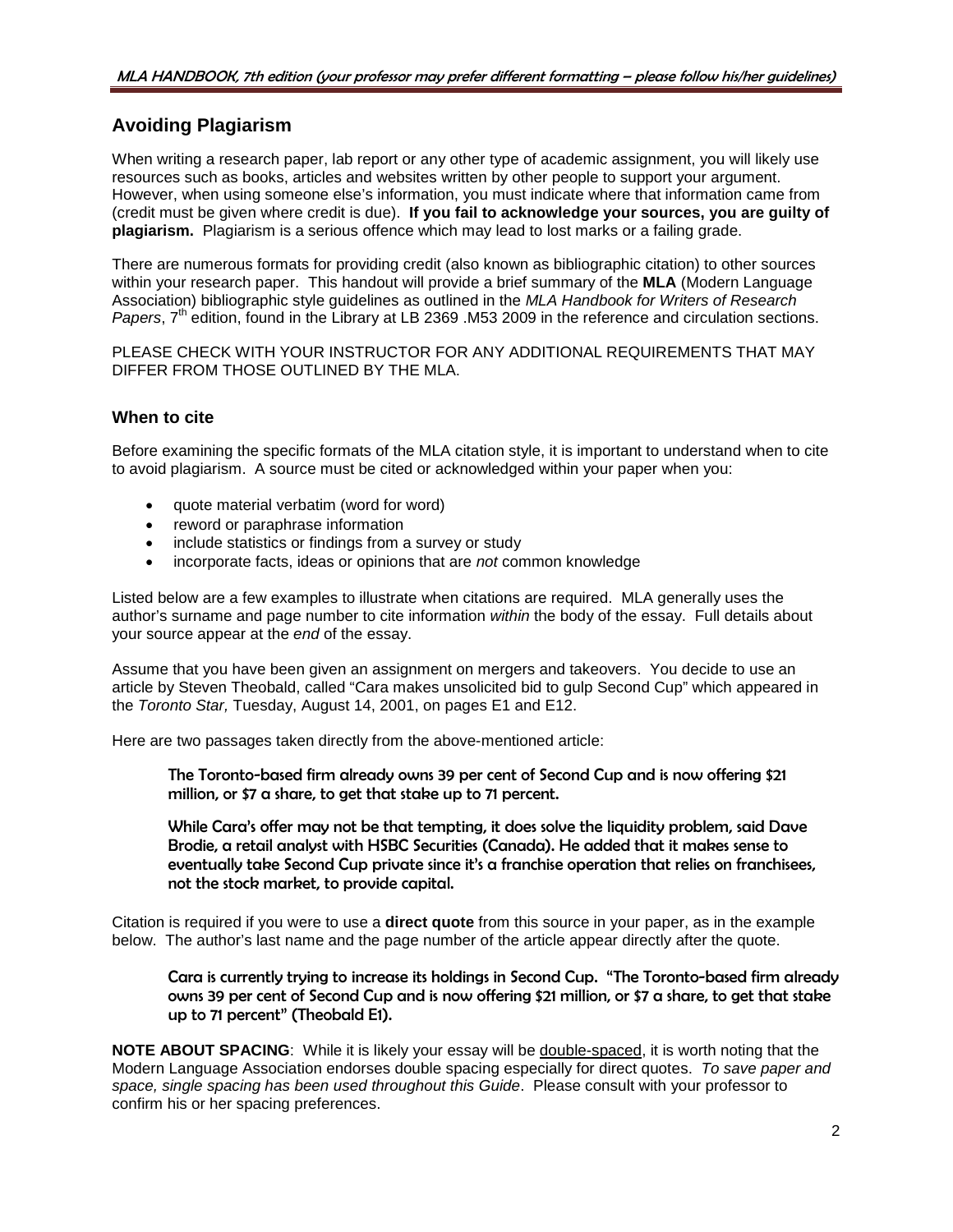# **Avoiding Plagiarism**

When writing a research paper, lab report or any other type of academic assignment, you will likely use resources such as books, articles and websites written by other people to support your argument. However, when using someone else's information, you must indicate where that information came from (credit must be given where credit is due). **If you fail to acknowledge your sources, you are guilty of plagiarism.** Plagiarism is a serious offence which may lead to lost marks or a failing grade.

There are numerous formats for providing credit (also known as bibliographic citation) to other sources within your research paper. This handout will provide a brief summary of the **MLA** (Modern Language Association) bibliographic style guidelines as outlined in the *MLA Handbook for Writers of Research Papers*,  $7<sup>th</sup>$  edition, found in the Library at LB 2369 .M53 2009 in the reference and circulation sections.

PLEASE CHECK WITH YOUR INSTRUCTOR FOR ANY ADDITIONAL REQUIREMENTS THAT MAY DIFFER FROM THOSE OUTLINED BY THE MLA.

# **When to cite**

Before examining the specific formats of the MLA citation style, it is important to understand when to cite to avoid plagiarism. A source must be cited or acknowledged within your paper when you:

- quote material verbatim (word for word)
- reword or paraphrase information
- include statistics or findings from a survey or study
- incorporate facts, ideas or opinions that are *not* common knowledge

Listed below are a few examples to illustrate when citations are required. MLA generally uses the author's surname and page number to cite information *within* the body of the essay. Full details about your source appear at the *end* of the essay.

Assume that you have been given an assignment on mergers and takeovers. You decide to use an article by Steven Theobald, called "Cara makes unsolicited bid to gulp Second Cup" which appeared in the *Toronto Star,* Tuesday, August 14, 2001, on pages E1 and E12.

Here are two passages taken directly from the above-mentioned article:

The Toronto-based firm already owns 39 per cent of Second Cup and is now offering \$21 million, or \$7 a share, to get that stake up to 71 percent.

While Cara's offer may not be that tempting, it does solve the liquidity problem, said Dave Brodie, a retail analyst with HSBC Securities (Canada). He added that it makes sense to eventually take Second Cup private since it's a franchise operation that relies on franchisees, not the stock market, to provide capital.

Citation is required if you were to use a **direct quote** from this source in your paper, as in the example below. The author's last name and the page number of the article appear directly after the quote.

Cara is currently trying to increase its holdings in Second Cup. "The Toronto-based firm already owns 39 per cent of Second Cup and is now offering \$21 million, or \$7 a share, to get that stake up to 71 percent" (Theobald E1).

**NOTE ABOUT SPACING**: While it is likely your essay will be double-spaced, it is worth noting that the Modern Language Association endorses double spacing especially for direct quotes. *To save paper and space, single spacing has been used throughout this Guide*. Please consult with your professor to confirm his or her spacing preferences.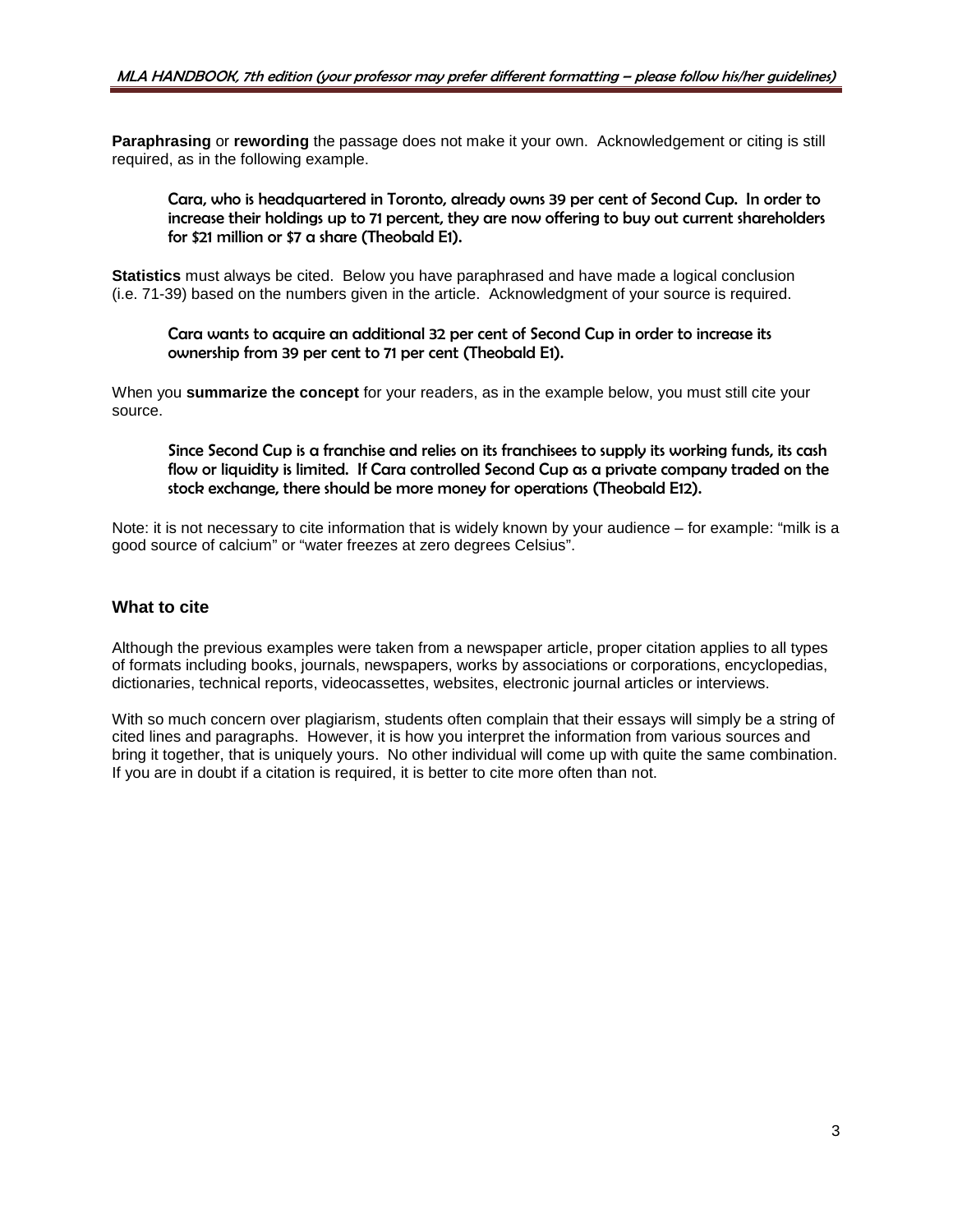**Paraphrasing** or **rewording** the passage does not make it your own. Acknowledgement or citing is still required, as in the following example.

Cara, who is headquartered in Toronto, already owns 39 per cent of Second Cup. In order to increase their holdings up to 71 percent, they are now offering to buy out current shareholders for \$21 million or \$7 a share (Theobald E1).

**Statistics** must always be cited. Below you have paraphrased and have made a logical conclusion (i.e. 71-39) based on the numbers given in the article. Acknowledgment of your source is required.

Cara wants to acquire an additional 32 per cent of Second Cup in order to increase its ownership from 39 per cent to 71 per cent (Theobald E1).

When you **summarize the concept** for your readers, as in the example below, you must still cite your source.

Since Second Cup is a franchise and relies on its franchisees to supply its working funds, its cash flow or liquidity is limited. If Cara controlled Second Cup as a private company traded on the stock exchange, there should be more money for operations (Theobald E12).

Note: it is not necessary to cite information that is widely known by your audience – for example: "milk is a good source of calcium" or "water freezes at zero degrees Celsius".

# **What to cite**

Although the previous examples were taken from a newspaper article, proper citation applies to all types of formats including books, journals, newspapers, works by associations or corporations, encyclopedias, dictionaries, technical reports, videocassettes, websites, electronic journal articles or interviews.

With so much concern over plagiarism, students often complain that their essays will simply be a string of cited lines and paragraphs. However, it is how you interpret the information from various sources and bring it together, that is uniquely yours. No other individual will come up with quite the same combination. If you are in doubt if a citation is required, it is better to cite more often than not.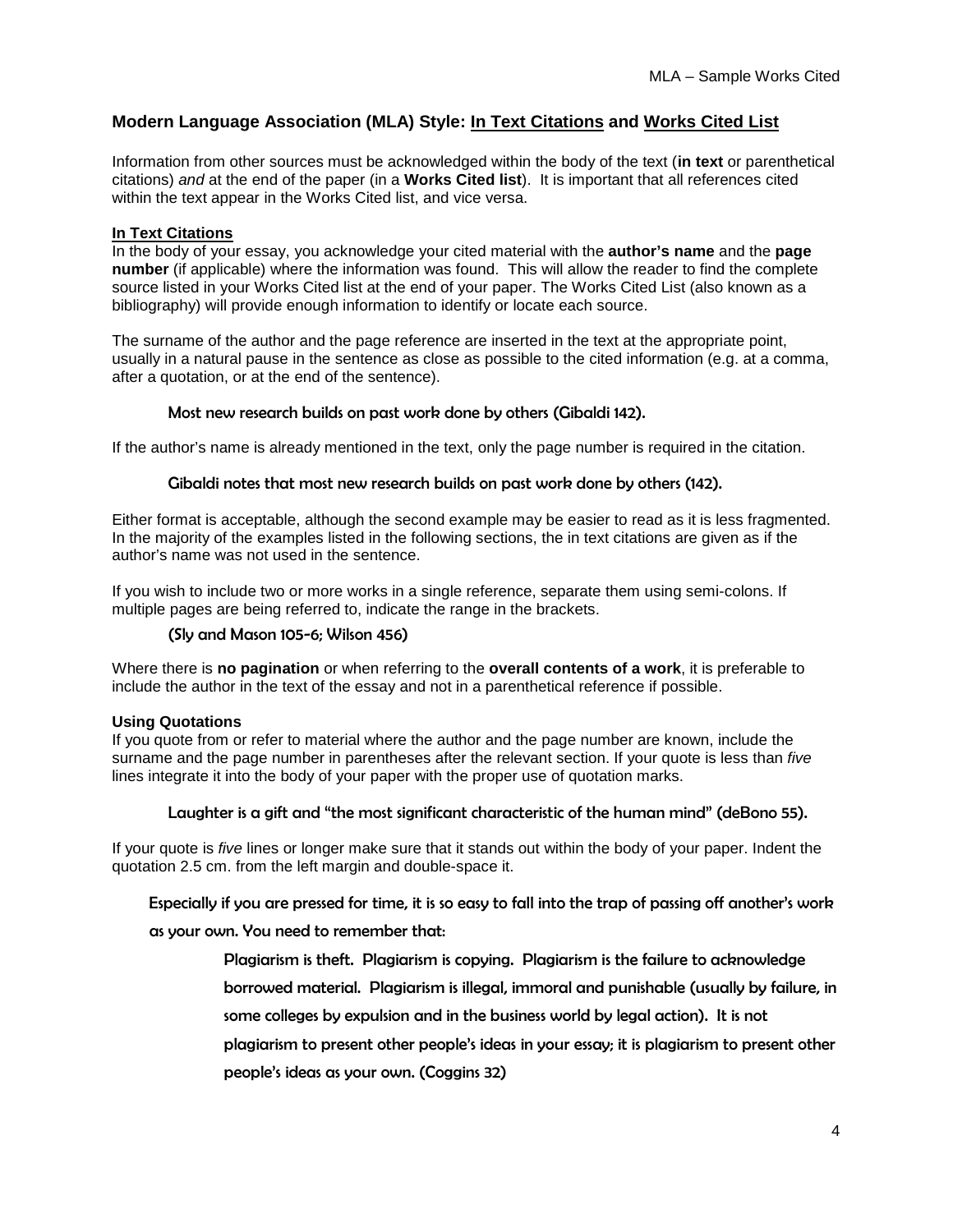# **Modern Language Association (MLA) Style: In Text Citations and Works Cited List**

Information from other sources must be acknowledged within the body of the text (**in text** or parenthetical citations) *and* at the end of the paper (in a **Works Cited list**). It is important that all references cited within the text appear in the Works Cited list, and vice versa.

#### **In Text Citations**

In the body of your essay, you acknowledge your cited material with the **author's name** and the **page number** (if applicable) where the information was found. This will allow the reader to find the complete source listed in your Works Cited list at the end of your paper. The Works Cited List (also known as a bibliography) will provide enough information to identify or locate each source.

The surname of the author and the page reference are inserted in the text at the appropriate point, usually in a natural pause in the sentence as close as possible to the cited information (e.g. at a comma, after a quotation, or at the end of the sentence).

#### Most new research builds on past work done by others (Gibaldi 142).

If the author's name is already mentioned in the text, only the page number is required in the citation.

#### Gibaldi notes that most new research builds on past work done by others (142).

Either format is acceptable, although the second example may be easier to read as it is less fragmented. In the majority of the examples listed in the following sections, the in text citations are given as if the author's name was not used in the sentence.

If you wish to include two or more works in a single reference, separate them using semi-colons. If multiple pages are being referred to, indicate the range in the brackets.

#### (Sly and Mason 105-6; Wilson 456)

Where there is **no pagination** or when referring to the **overall contents of a work**, it is preferable to include the author in the text of the essay and not in a parenthetical reference if possible.

#### **Using Quotations**

If you quote from or refer to material where the author and the page number are known, include the surname and the page number in parentheses after the relevant section. If your quote is less than *five* lines integrate it into the body of your paper with the proper use of quotation marks.

#### Laughter is a gift and "the most significant characteristic of the human mind" (deBono 55).

If your quote is *five* lines or longer make sure that it stands out within the body of your paper. Indent the quotation 2.5 cm. from the left margin and double-space it.

#### Especially if you are pressed for time, it is so easy to fall into the trap of passing off another's work

#### as your own. You need to remember that:

- Plagiarism is theft. Plagiarism is copying. Plagiarism is the failure to acknowledge
- borrowed material. Plagiarism is illegal, immoral and punishable (usually by failure, in
- some colleges by expulsion and in the business world by legal action). It is not
- plagiarism to present other people's ideas in your essay; it is plagiarism to present other
- people's ideas as your own. (Coggins 32)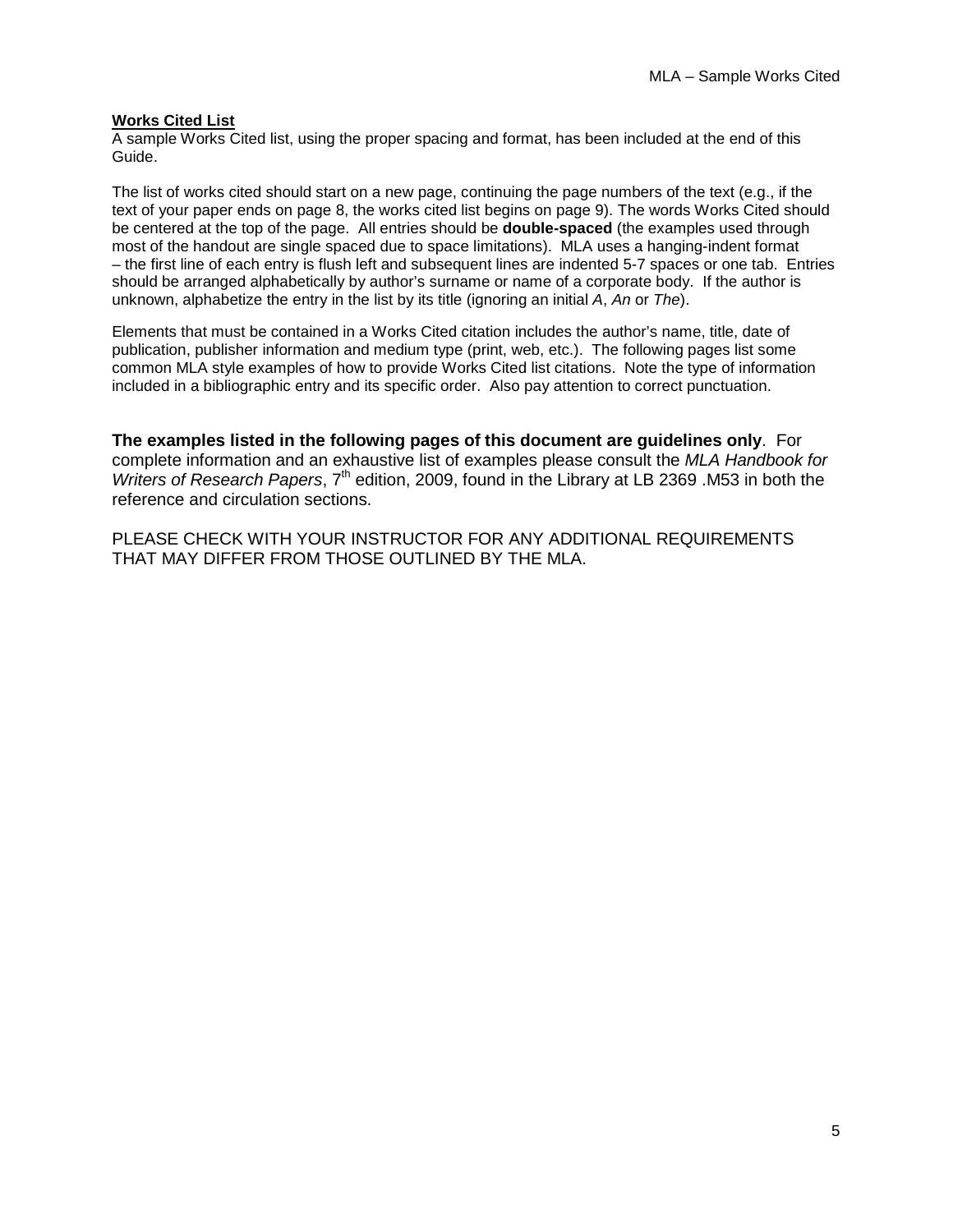#### **Works Cited List**

A sample Works Cited list, using the proper spacing and format, has been included at the end of this Guide.

The list of works cited should start on a new page, continuing the page numbers of the text (e.g., if the text of your paper ends on page 8, the works cited list begins on page 9). The words Works Cited should be centered at the top of the page. All entries should be **double-spaced** (the examples used through most of the handout are single spaced due to space limitations). MLA uses a hanging-indent format – the first line of each entry is flush left and subsequent lines are indented 5-7 spaces or one tab. Entries should be arranged alphabetically by author's surname or name of a corporate body. If the author is unknown, alphabetize the entry in the list by its title (ignoring an initial *A*, *An* or *The*).

Elements that must be contained in a Works Cited citation includes the author's name, title, date of publication, publisher information and medium type (print, web, etc.). The following pages list some common MLA style examples of how to provide Works Cited list citations. Note the type of information included in a bibliographic entry and its specific order. Also pay attention to correct punctuation.

**The examples listed in the following pages of this document are guidelines only**. For complete information and an exhaustive list of examples please consult the *MLA Handbook for Writers of Research Papers, 7<sup>th</sup> edition, 2009, found in the Library at LB 2369 .M53 in both the* reference and circulation sections.

PLEASE CHECK WITH YOUR INSTRUCTOR FOR ANY ADDITIONAL REQUIREMENTS THAT MAY DIFFER FROM THOSE OUTLINED BY THE MLA.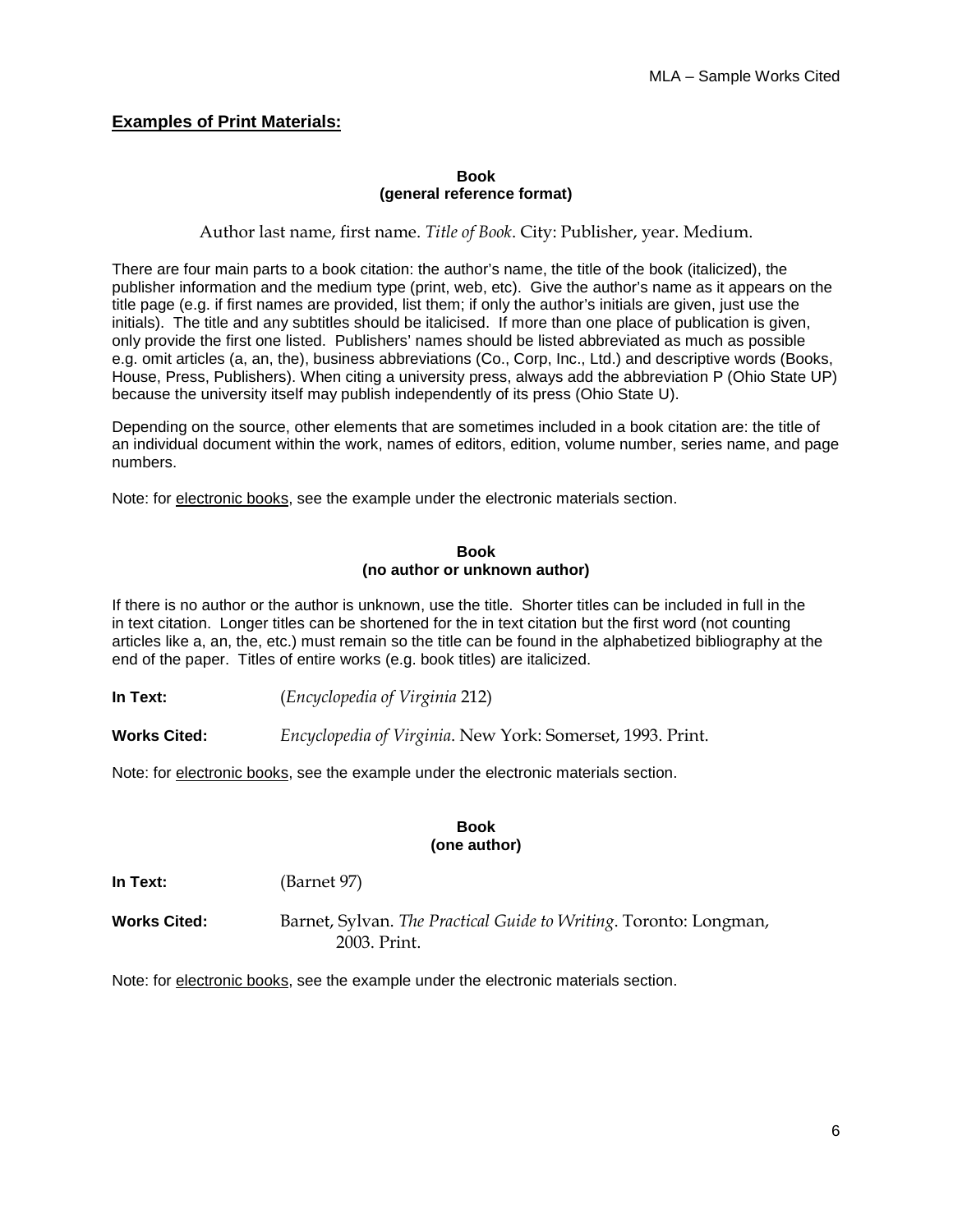# **Examples of Print Materials:**

#### **Book (general reference format)**

Author last name, first name. *Title of Book*. City: Publisher, year. Medium.

There are four main parts to a book citation: the author's name, the title of the book (italicized), the publisher information and the medium type (print, web, etc). Give the author's name as it appears on the title page (e.g. if first names are provided, list them; if only the author's initials are given, just use the initials). The title and any subtitles should be italicised. If more than one place of publication is given, only provide the first one listed. Publishers' names should be listed abbreviated as much as possible e.g. omit articles (a, an, the), business abbreviations (Co., Corp, Inc., Ltd.) and descriptive words (Books, House, Press, Publishers). When citing a university press, always add the abbreviation P (Ohio State UP) because the university itself may publish independently of its press (Ohio State U).

Depending on the source, other elements that are sometimes included in a book citation are: the title of an individual document within the work, names of editors, edition, volume number, series name, and page numbers.

Note: for electronic books, see the example under the electronic materials section.

#### **Book (no author or unknown author)**

If there is no author or the author is unknown, use the title. Shorter titles can be included in full in the in text citation. Longer titles can be shortened for the in text citation but the first word (not counting articles like a, an, the, etc.) must remain so the title can be found in the alphabetized bibliography at the end of the paper. Titles of entire works (e.g. book titles) are italicized.

**In Text:** (*Encyclopedia of Virginia* 212)

**Works Cited:** *Encyclopedia of Virginia*. New York: Somerset, 1993. Print.

Note: for electronic books, see the example under the electronic materials section.

#### **Book (one author)**

**In Text:** (Barnet 97)

**Works Cited:** Barnet, Sylvan. *The Practical Guide to Writing*. Toronto: Longman, 2003. Print.

Note: for electronic books, see the example under the electronic materials section.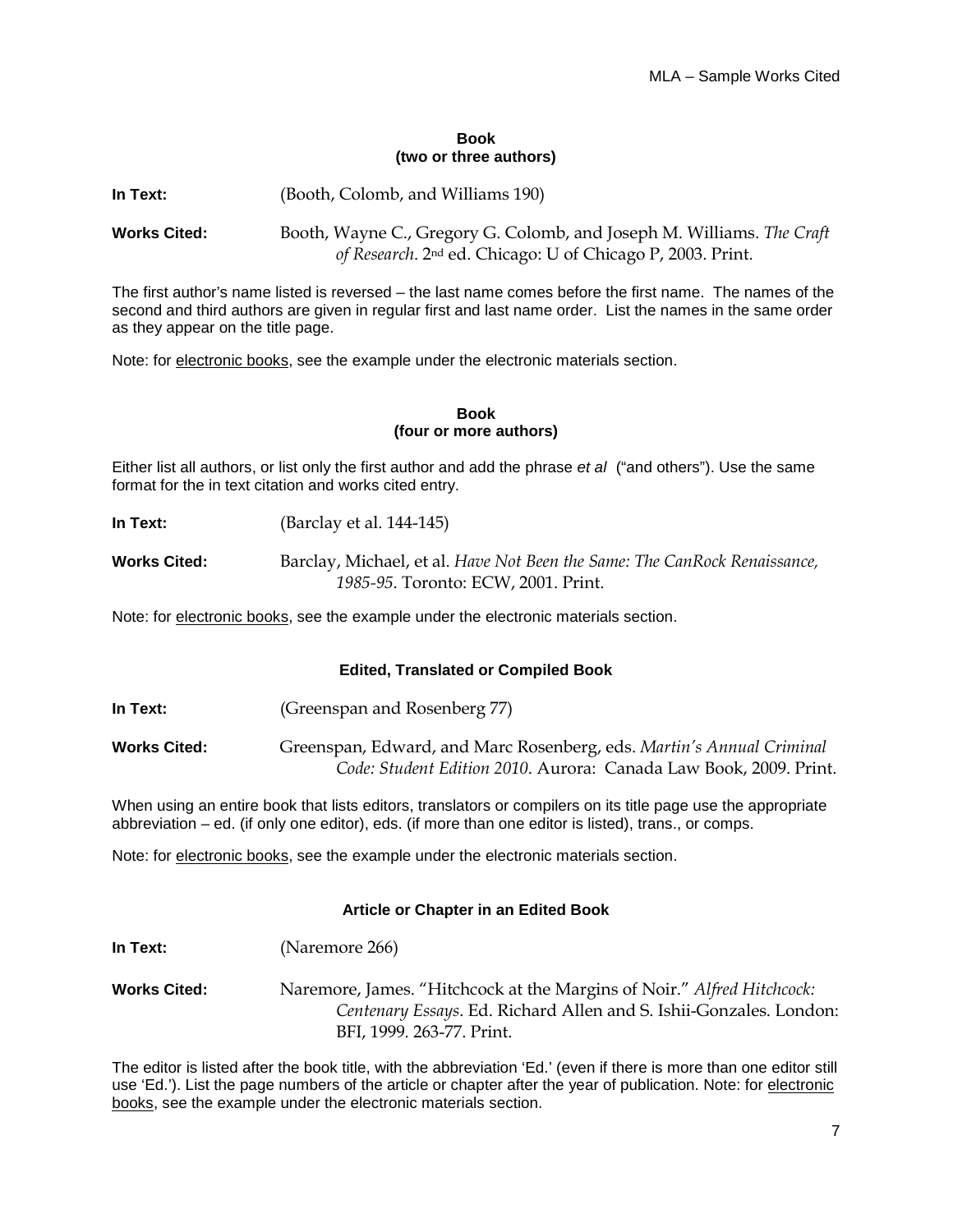#### **Book (two or three authors)**

**In Text:** (Booth, Colomb, and Williams 190)

**Works Cited:** Booth, Wayne C., Gregory G. Colomb, and Joseph M. Williams. *The Craft of Research*. 2nd ed. Chicago: U of Chicago P, 2003. Print.

The first author's name listed is reversed – the last name comes before the first name. The names of the second and third authors are given in regular first and last name order. List the names in the same order as they appear on the title page.

Note: for electronic books, see the example under the electronic materials section.

#### **Book (four or more authors)**

Either list all authors, or list only the first author and add the phrase *et al* ("and others"). Use the same format for the in text citation and works cited entry.

- **In Text:** (Barclay et al. 144-145)
- **Works Cited:** Barclay, Michael, et al. *Have Not Been the Same: The CanRock Renaissance, 1985-95*. Toronto: ECW, 2001. Print.

Note: for electronic books, see the example under the electronic materials section.

#### **Edited, Translated or Compiled Book**

**In Text:** (Greenspan and Rosenberg 77)

**In Text:** (Naremore 266)

**Works Cited:** Greenspan, Edward, and Marc Rosenberg, eds. *Martin's Annual Criminal Code: Student Edition 2010*. Aurora: Canada Law Book, 2009. Print.

When using an entire book that lists editors, translators or compilers on its title page use the appropriate abbreviation – ed. (if only one editor), eds. (if more than one editor is listed), trans., or comps.

Note: for electronic books, see the example under the electronic materials section.

#### **Article or Chapter in an Edited Book**

**Works Cited:** Naremore, James. "Hitchcock at the Margins of Noir." *Alfred Hitchcock: Centenary Essays*. Ed. Richard Allen and S. Ishii-Gonzales. London: BFI, 1999. 263-77. Print.

The editor is listed after the book title, with the abbreviation 'Ed.' (even if there is more than one editor still use 'Ed.'). List the page numbers of the article or chapter after the year of publication. Note: for electronic books, see the example under the electronic materials section.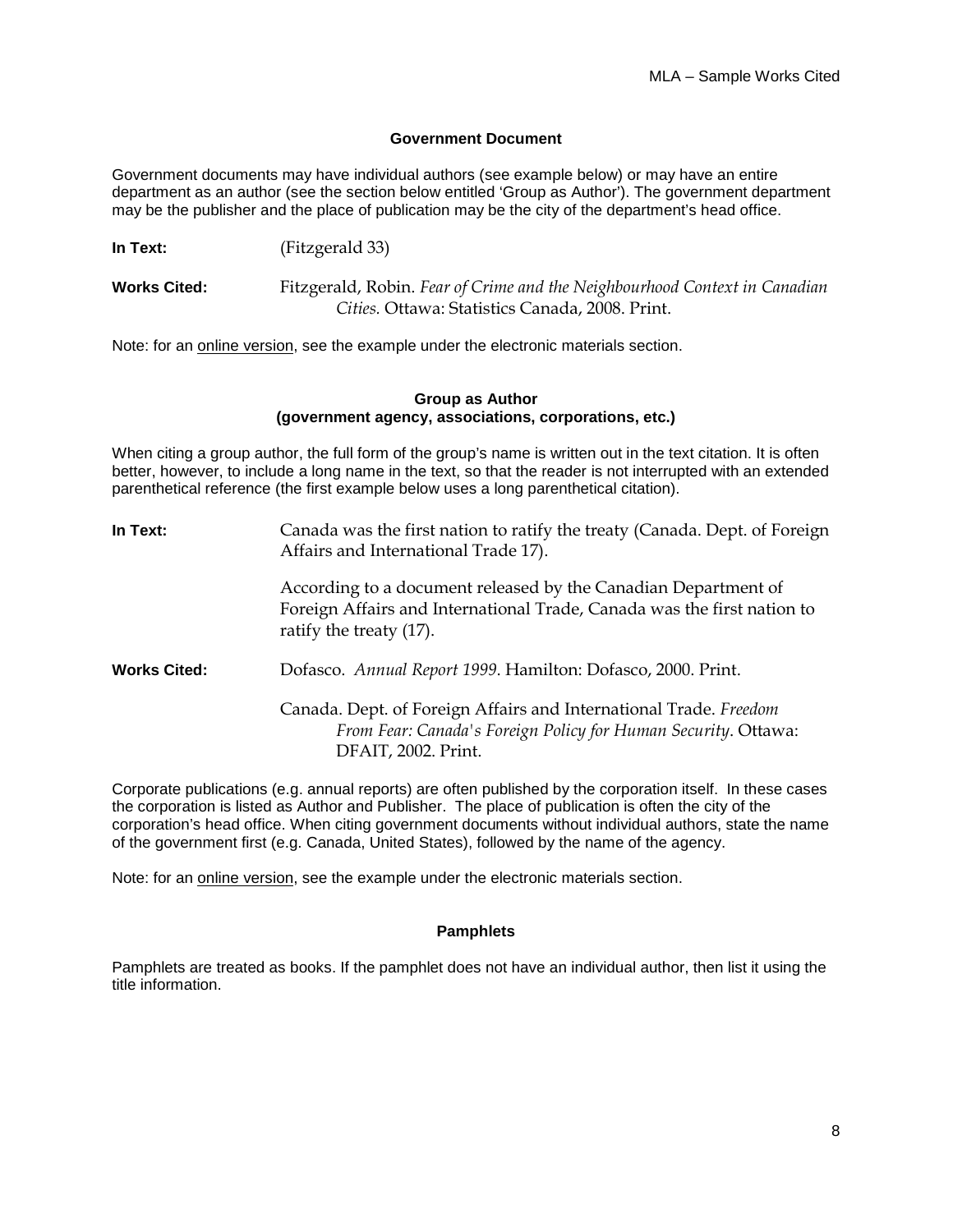#### **Government Document**

Government documents may have individual authors (see example below) or may have an entire department as an author (see the section below entitled 'Group as Author'). The government department may be the publisher and the place of publication may be the city of the department's head office.

**In Text:** (Fitzgerald 33)

**Works Cited:** Fitzgerald, Robin. *Fear of Crime and the Neighbourhood Context in Canadian Cities.* Ottawa: Statistics Canada, 2008. Print.

Note: for an online version, see the example under the electronic materials section.

#### **Group as Author (government agency, associations, corporations, etc.)**

When citing a group author, the full form of the group's name is written out in the text citation. It is often better, however, to include a long name in the text, so that the reader is not interrupted with an extended parenthetical reference (the first example below uses a long parenthetical citation).

**In Text:** Canada was the first nation to ratify the treaty (Canada. Dept. of Foreign Affairs and International Trade 17). According to a document released by the Canadian Department of Foreign Affairs and International Trade, Canada was the first nation to ratify the treaty (17). **Works Cited:** Dofasco. *Annual Report 1999*. Hamilton: Dofasco, 2000. Print. Canada. Dept. of Foreign Affairs and International Trade. *Freedom From Fear: Canada's Foreign Policy for Human Security*. Ottawa: DFAIT, 2002. Print.

Corporate publications (e.g. annual reports) are often published by the corporation itself. In these cases the corporation is listed as Author and Publisher. The place of publication is often the city of the corporation's head office. When citing government documents without individual authors, state the name of the government first (e.g. Canada, United States), followed by the name of the agency.

Note: for an online version, see the example under the electronic materials section.

#### **Pamphlets**

Pamphlets are treated as books. If the pamphlet does not have an individual author, then list it using the title information.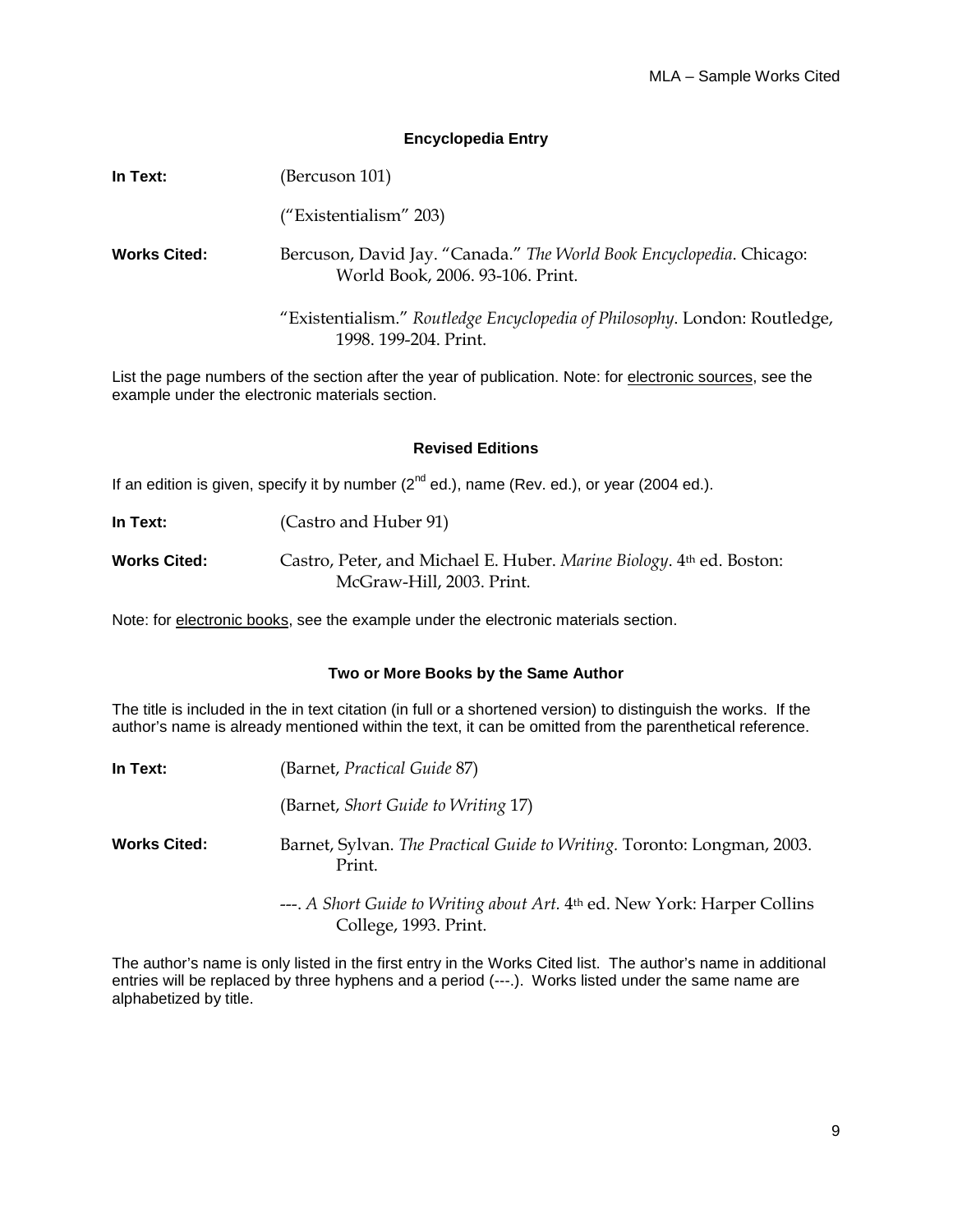#### **Encyclopedia Entry**

| In Text:            | (Bercuson 101)                                                                                           |
|---------------------|----------------------------------------------------------------------------------------------------------|
|                     | ("Existentialism" 203)                                                                                   |
| <b>Works Cited:</b> | Bercuson, David Jay. "Canada." The World Book Encyclopedia. Chicago:<br>World Book, 2006. 93-106. Print. |
|                     | "Existentialism." Routledge Encyclopedia of Philosophy. London: Routledge,<br>1998. 199-204. Print.      |

List the page numbers of the section after the year of publication. Note: for electronic sources, see the example under the electronic materials section.

#### **Revised Editions**

If an edition is given, specify it by number  $(2^{nd}$  ed.), name (Rev. ed.), or year (2004 ed.).

**In Text:** (Castro and Huber 91)

**Works Cited:** Castro, Peter, and Michael E. Huber. *Marine Biology*. 4th ed. Boston: McGraw-Hill, 2003. Print.

Note: for electronic books, see the example under the electronic materials section.

#### **Two or More Books by the Same Author**

The title is included in the in text citation (in full or a shortened version) to distinguish the works. If the author's name is already mentioned within the text, it can be omitted from the parenthetical reference.

| In Text:     | (Barnet, Practical Guide 87)                                                          |
|--------------|---------------------------------------------------------------------------------------|
|              | (Barnet, <i>Short Guide to Writing 17</i> )                                           |
| Works Cited: | Barnet, Sylvan. The Practical Guide to Writing. Toronto: Longman, 2003.<br>Print.     |
|              | ---. A Short Guide to Writing about Art. 4 <sup>th</sup> ed. New York: Harper Collins |

College, 1993. Print.

The author's name is only listed in the first entry in the Works Cited list. The author's name in additional entries will be replaced by three hyphens and a period (---.). Works listed under the same name are alphabetized by title.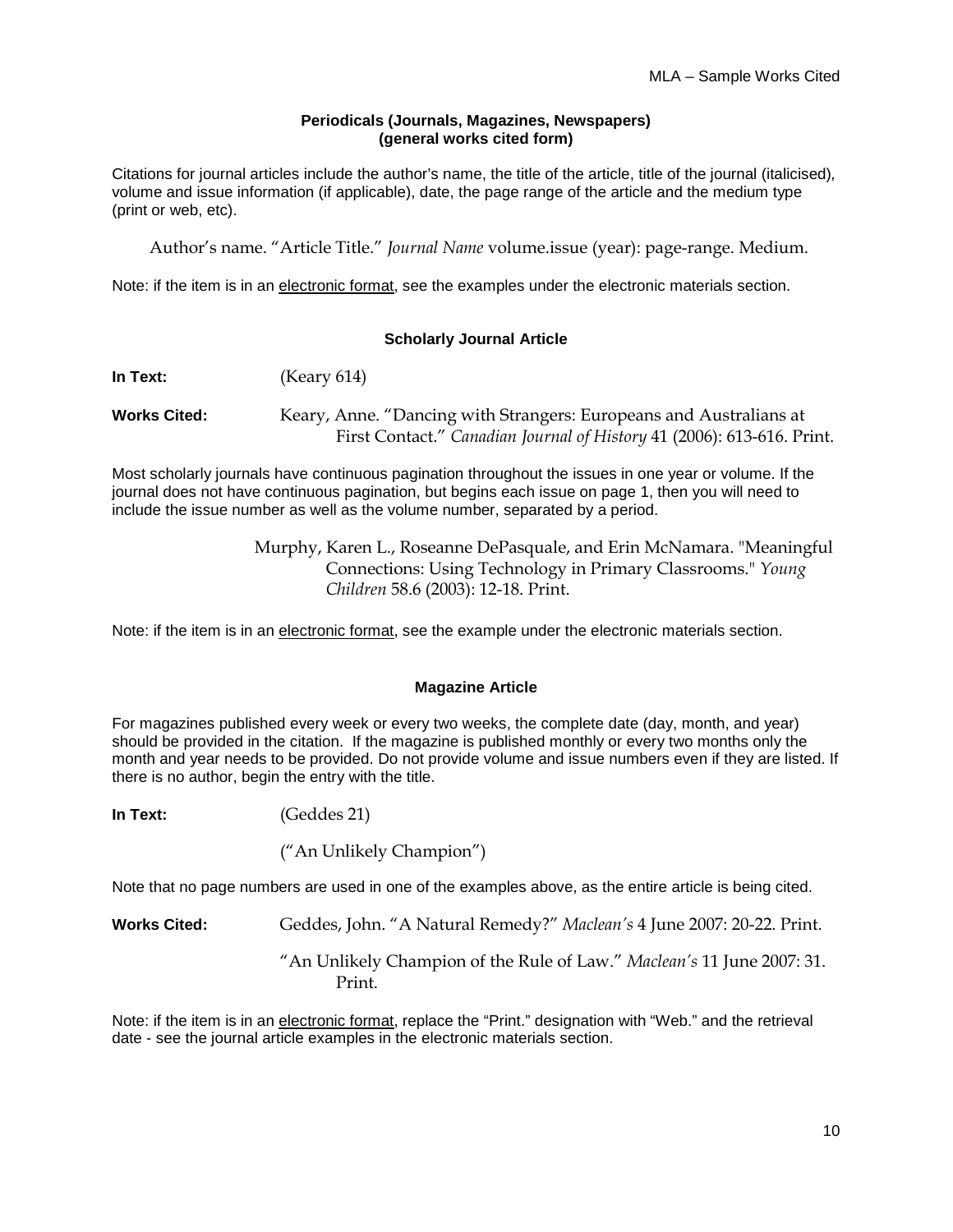#### **Periodicals (Journals, Magazines, Newspapers) (general works cited form)**

Citations for journal articles include the author's name, the title of the article, title of the journal (italicised)*,* volume and issue information (if applicable), date, the page range of the article and the medium type (print or web, etc).

Author's name. "Article Title." *Journal Name* volume.issue (year): page-range. Medium.

Note: if the item is in an electronic format, see the examples under the electronic materials section.

# **Scholarly Journal Article**

| In Text:            | (Keary 614)                                                            |
|---------------------|------------------------------------------------------------------------|
| <b>Works Cited:</b> | Keary, Anne. "Dancing with Strangers: Europeans and Australians at     |
|                     | First Contact." Canadian Journal of History 41 (2006): 613-616. Print. |

Most scholarly journals have continuous pagination throughout the issues in one year or volume. If the journal does not have continuous pagination, but begins each issue on page 1, then you will need to include the issue number as well as the volume number, separated by a period.

> Murphy, Karen L., Roseanne DePasquale, and Erin McNamara. "Meaningful Connections: Using Technology in Primary Classrooms." *Young Children* 58.6 (2003): 12-18. Print.

Note: if the item is in an electronic format, see the example under the electronic materials section.

# **Magazine Article**

For magazines published every week or every two weeks, the complete date (day, month, and year) should be provided in the citation. If the magazine is published monthly or every two months only the month and year needs to be provided. Do not provide volume and issue numbers even if they are listed. If there is no author, begin the entry with the title.

**In Text:** (Geddes 21)

("An Unlikely Champion")

Note that no page numbers are used in one of the examples above, as the entire article is being cited.

**Works Cited:** Geddes, John. "A Natural Remedy?" *Maclean's* 4 June 2007: 20-22. Print.

"An Unlikely Champion of the Rule of Law." *Maclean's* 11 June 2007: 31. Print.

Note: if the item is in an electronic format, replace the "Print." designation with "Web." and the retrieval date - see the journal article examples in the electronic materials section.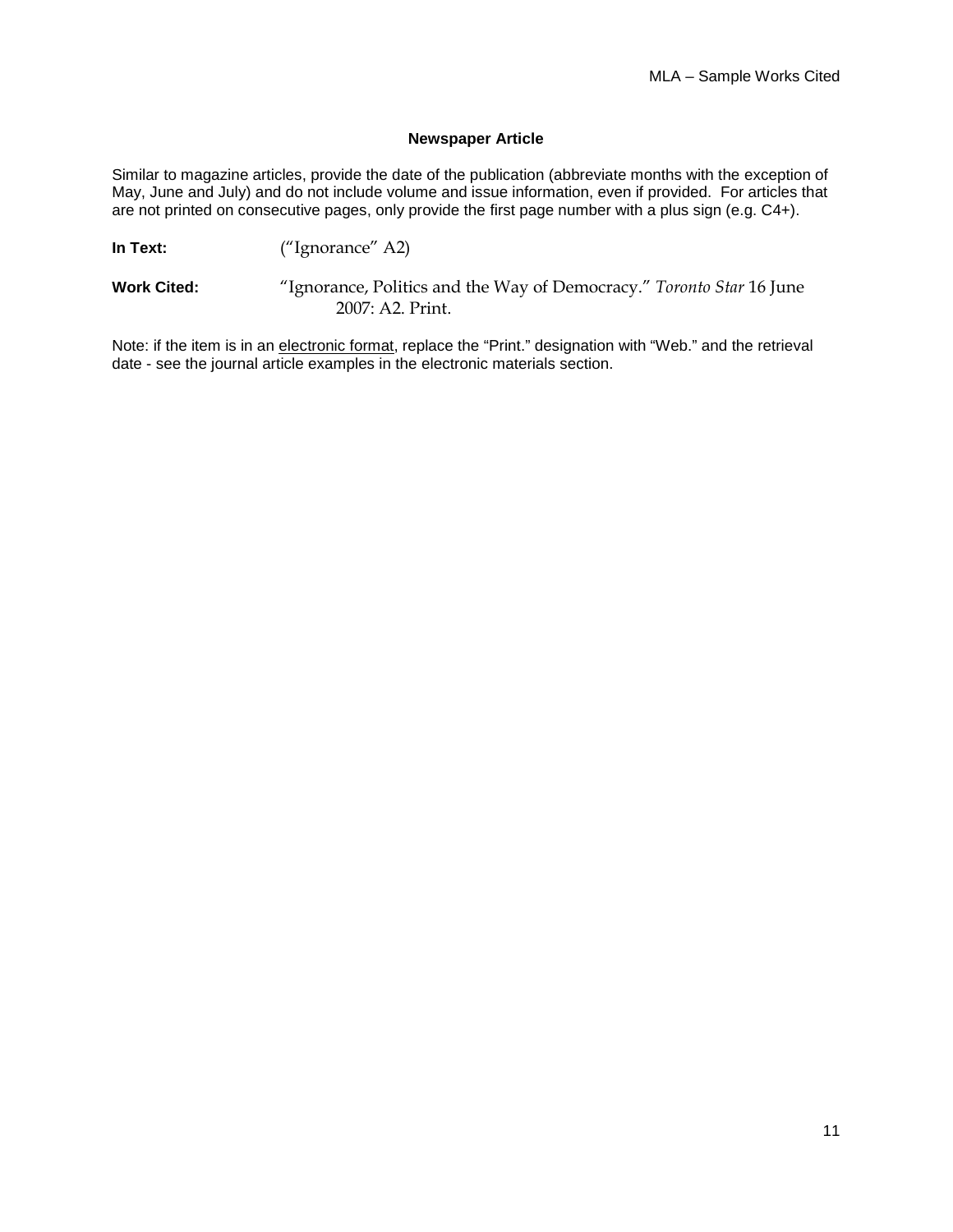#### **Newspaper Article**

Similar to magazine articles, provide the date of the publication (abbreviate months with the exception of May, June and July) and do not include volume and issue information, even if provided. For articles that are not printed on consecutive pages, only provide the first page number with a plus sign (e.g. C4+).

**In Text:** ("Ignorance" A2)

**Work Cited:** "Ignorance, Politics and the Way of Democracy." *Toronto Star* 16 June 2007: A2. Print.

Note: if the item is in an electronic format, replace the "Print." designation with "Web." and the retrieval date - see the journal article examples in the electronic materials section.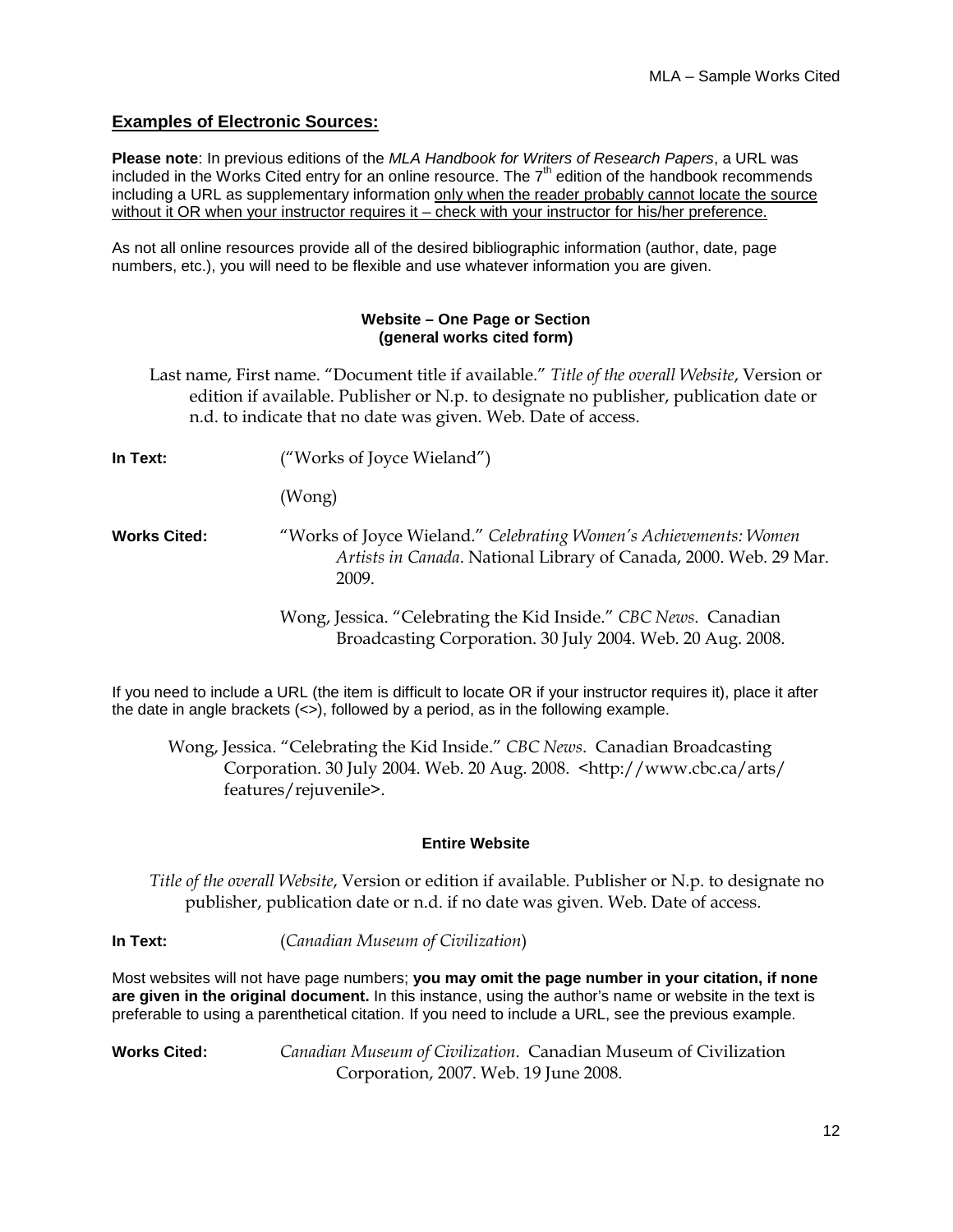# **Examples of Electronic Sources:**

**Please note**: In previous editions of the *MLA Handbook for Writers of Research Papers*, a URL was included in the Works Cited entry for an online resource. The  $7<sup>th</sup>$  edition of the handbook recommends including a URL as supplementary information only when the reader probably cannot locate the source without it OR when your instructor requires it – check with your instructor for his/her preference.

As not all online resources provide all of the desired bibliographic information (author, date, page numbers, etc.), you will need to be flexible and use whatever information you are given.

#### **Website – One Page or Section (general works cited form)**

- Last name, First name. "Document title if available." *Title of the overall Website*, Version or edition if available. Publisher or N.p. to designate no publisher, publication date or n.d. to indicate that no date was given. Web. Date of access.
- **In Text:** ("Works of Joyce Wieland") (Wong) **Works Cited:** "Works of Joyce Wieland." *Celebrating Women's Achievements: Women Artists in Canada*. National Library of Canada, 2000. Web. 29 Mar. 2009. Wong, Jessica. "Celebrating the Kid Inside." *CBC News*. Canadian Broadcasting Corporation. 30 July 2004. Web. 20 Aug. 2008.

If you need to include a URL (the item is difficult to locate OR if your instructor requires it), place it after the date in angle brackets  $\langle \langle \rangle$ , followed by a period, as in the following example.

Wong, Jessica. "Celebrating the Kid Inside." *CBC News*. Canadian Broadcasting Corporation. 30 July 2004. Web. 20 Aug. 2008. <http://www.cbc.ca/arts/ features/rejuvenile>.

# **Entire Website**

*Title of the overall Website*, Version or edition if available. Publisher or N.p. to designate no publisher, publication date or n.d. if no date was given. Web. Date of access.

**In Text:** (*Canadian Museum of Civilization*)

Most websites will not have page numbers; **you may omit the page number in your citation, if none are given in the original document.** In this instance, using the author's name or website in the text is preferable to using a parenthetical citation. If you need to include a URL, see the previous example.

**Works Cited:** *Canadian Museum of Civilization*. Canadian Museum of Civilization Corporation, 2007. Web. 19 June 2008.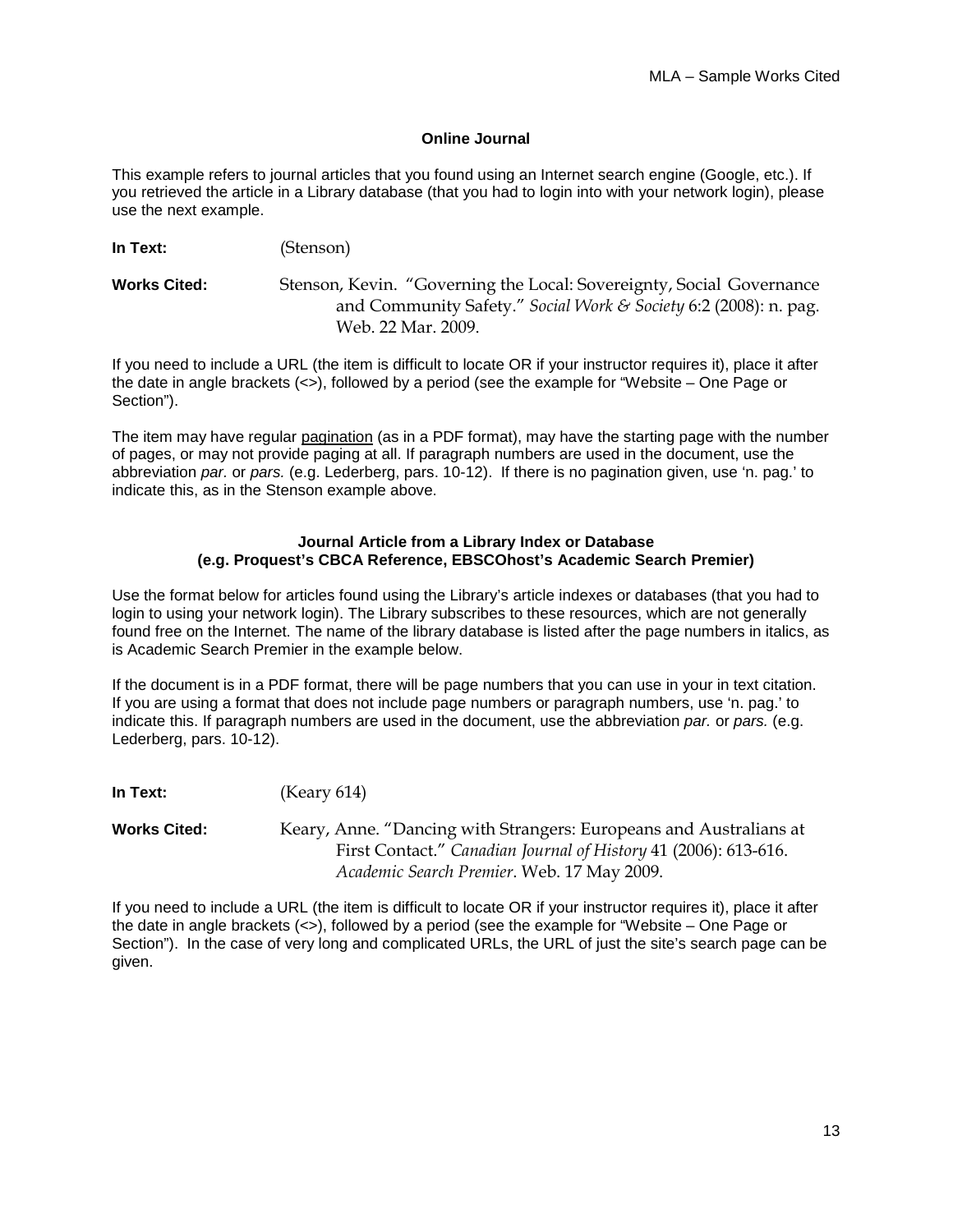#### **Online Journal**

This example refers to journal articles that you found using an Internet search engine (Google, etc.). If you retrieved the article in a Library database (that you had to login into with your network login), please use the next example.

**In Text:** (Stenson)

**Works Cited:** Stenson, Kevin. "Governing the Local: Sovereignty, Social Governance and Community Safety." *Social Work & Society* 6:2 (2008): n. pag. Web. 22 Mar. 2009.

If you need to include a URL (the item is difficult to locate OR if your instructor requires it), place it after the date in angle brackets (<>), followed by a period (see the example for "Website – One Page or Section").

The item may have regular pagination (as in a PDF format), may have the starting page with the number of pages, or may not provide paging at all. If paragraph numbers are used in the document, use the abbreviation *par.* or *pars.* (e.g. Lederberg, pars. 10-12). If there is no pagination given, use 'n. pag.' to indicate this, as in the Stenson example above.

#### **Journal Article from a Library Index or Database (e.g. Proquest's CBCA Reference, EBSCOhost's Academic Search Premier)**

Use the format below for articles found using the Library's article indexes or databases (that you had to login to using your network login). The Library subscribes to these resources, which are not generally found free on the Internet. The name of the library database is listed after the page numbers in italics, as is Academic Search Premier in the example below.

If the document is in a PDF format, there will be page numbers that you can use in your in text citation. If you are using a format that does not include page numbers or paragraph numbers, use 'n. pag.' to indicate this. If paragraph numbers are used in the document, use the abbreviation *par.* or *pars.* (e.g. Lederberg, pars. 10-12).

**In Text:** (Keary 614)

**Works Cited:** Keary, Anne. "Dancing with Strangers: Europeans and Australians at First Contact." *Canadian Journal of History* 41 (2006): 613-616. *Academic Search Premier*. Web. 17 May 2009.

If you need to include a URL (the item is difficult to locate OR if your instructor requires it), place it after the date in angle brackets (<>), followed by a period (see the example for "Website – One Page or Section"). In the case of very long and complicated URLs, the URL of just the site's search page can be given.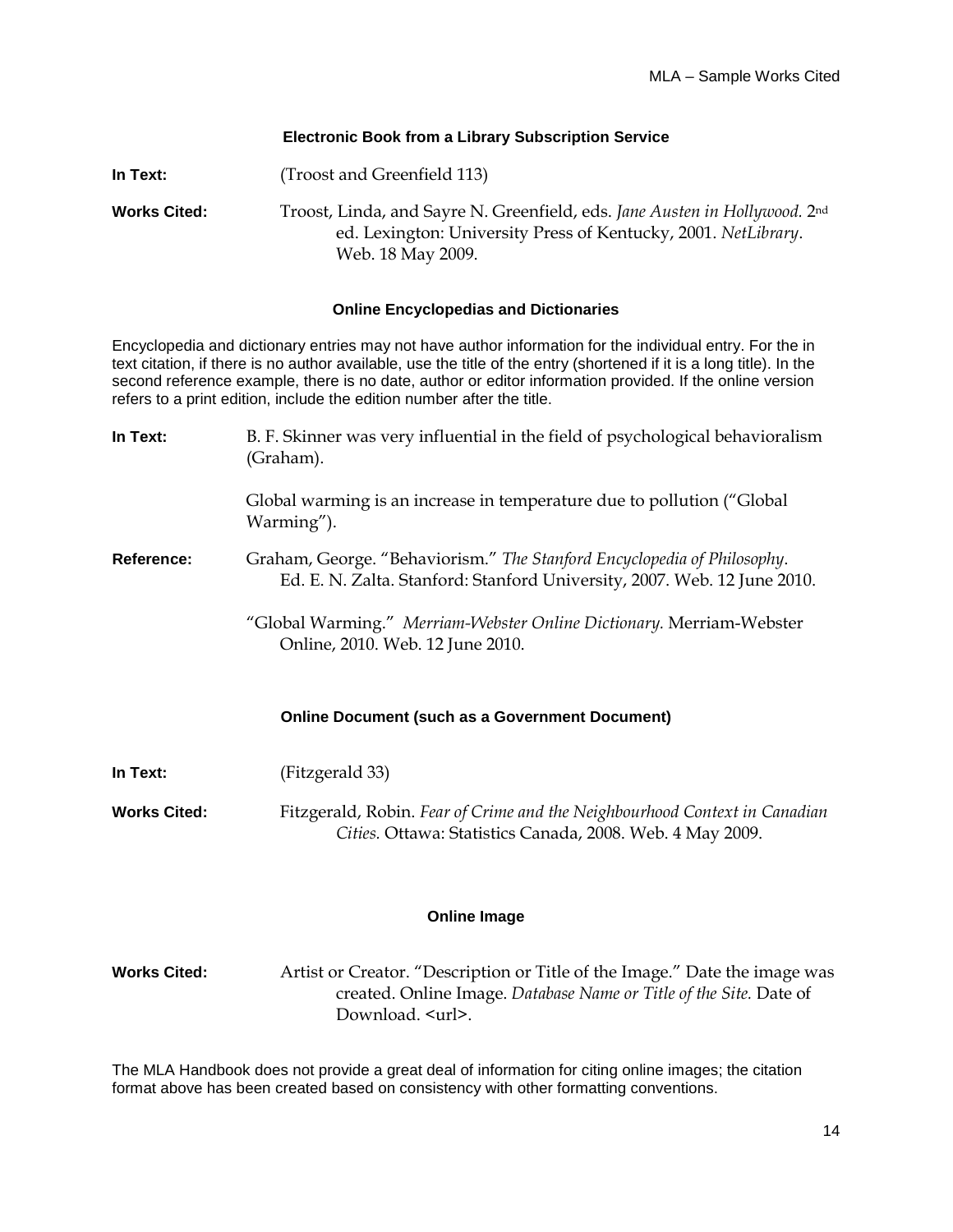#### **Electronic Book from a Library Subscription Service**

| In Text:            | (Troost and Greenfield 113)                                                                                                                                       |
|---------------------|-------------------------------------------------------------------------------------------------------------------------------------------------------------------|
| <b>Works Cited:</b> | Troost, Linda, and Sayre N. Greenfield, eds. Jane Austen in Hollywood. 2nd<br>ed. Lexington: University Press of Kentucky, 2001. NetLibrary.<br>Web. 18 May 2009. |

#### **Online Encyclopedias and Dictionaries**

Encyclopedia and dictionary entries may not have author information for the individual entry. For the in text citation, if there is no author available, use the title of the entry (shortened if it is a long title). In the second reference example, there is no date, author or editor information provided. If the online version refers to a print edition, include the edition number after the title.

| In Text:            | B. F. Skinner was very influential in the field of psychological behavioralism<br>(Graham).                                                         |  |
|---------------------|-----------------------------------------------------------------------------------------------------------------------------------------------------|--|
|                     | Global warming is an increase in temperature due to pollution ("Global<br>Warming").                                                                |  |
| Reference:          | Graham, George. "Behaviorism." The Stanford Encyclopedia of Philosophy.<br>Ed. E. N. Zalta. Stanford: Stanford University, 2007. Web. 12 June 2010. |  |
|                     | "Global Warming." Merriam-Webster Online Dictionary. Merriam-Webster<br>Online, 2010. Web. 12 June 2010.                                            |  |
|                     | <b>Online Document (such as a Government Document)</b>                                                                                              |  |
| In Text:            | (Fitzgerald 33)                                                                                                                                     |  |
| <b>Works Cited:</b> | Fitzgerald, Robin. Fear of Crime and the Neighbourhood Context in Canadian<br>Cities. Ottawa: Statistics Canada, 2008. Web. 4 May 2009.             |  |
| <b>Online Image</b> |                                                                                                                                                     |  |

**Works Cited:** Artist or Creator. "Description or Title of the Image." Date the image was created. Online Image. *Database Name or Title of the Site.* Date of Download. <url>.

The MLA Handbook does not provide a great deal of information for citing online images; the citation format above has been created based on consistency with other formatting conventions.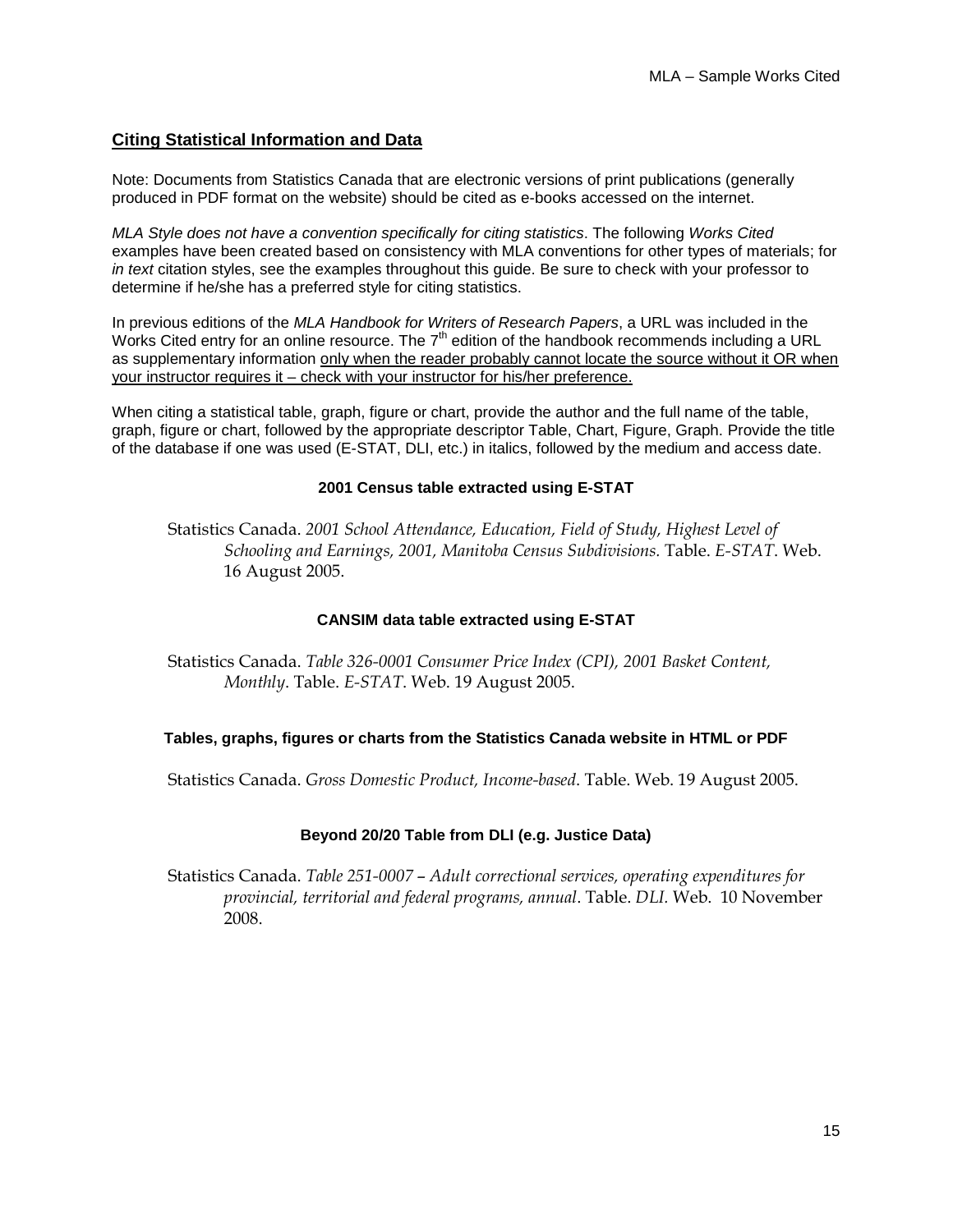# **Citing Statistical Information and Data**

Note: Documents from Statistics Canada that are electronic versions of print publications (generally produced in PDF format on the website) should be cited as e-books accessed on the internet.

*MLA Style does not have a convention specifically for citing statistics*. The following *Works Cited* examples have been created based on consistency with MLA conventions for other types of materials; for *in text* citation styles, see the examples throughout this guide. Be sure to check with your professor to determine if he/she has a preferred style for citing statistics.

In previous editions of the *MLA Handbook for Writers of Research Papers*, a URL was included in the Works Cited entry for an online resource. The  $7<sup>th</sup>$  edition of the handbook recommends including a URL as supplementary information only when the reader probably cannot locate the source without it OR when your instructor requires it – check with your instructor for his/her preference.

When citing a statistical table, graph, figure or chart, provide the author and the full name of the table, graph, figure or chart, followed by the appropriate descriptor Table, Chart, Figure, Graph. Provide the title of the database if one was used (E-STAT, DLI, etc.) in italics, followed by the medium and access date.

#### **2001 Census table extracted using E-STAT**

Statistics Canada. *2001 School Attendance, Education, Field of Study, Highest Level of Schooling and Earnings, 2001, Manitoba Census Subdivisions.* Table. *E-STAT*. Web. 16 August 2005.

#### **CANSIM data table extracted using E-STAT**

Statistics Canada. *Table 326-0001 Consumer Price Index (CPI), 2001 Basket Content, Monthly*. Table. *E-STAT*. Web. 19 August 2005.

#### **Tables, graphs, figures or charts from the Statistics Canada website in HTML or PDF**

Statistics Canada. *Gross Domestic Product, Income-based*. Table. Web. 19 August 2005.

#### **Beyond 20/20 Table from DLI (e.g. Justice Data)**

Statistics Canada. *Table 251-0007* – *Adult correctional services, operating expenditures for provincial, territorial and federal programs, annual*. Table. *DLI.* Web. 10 November 2008.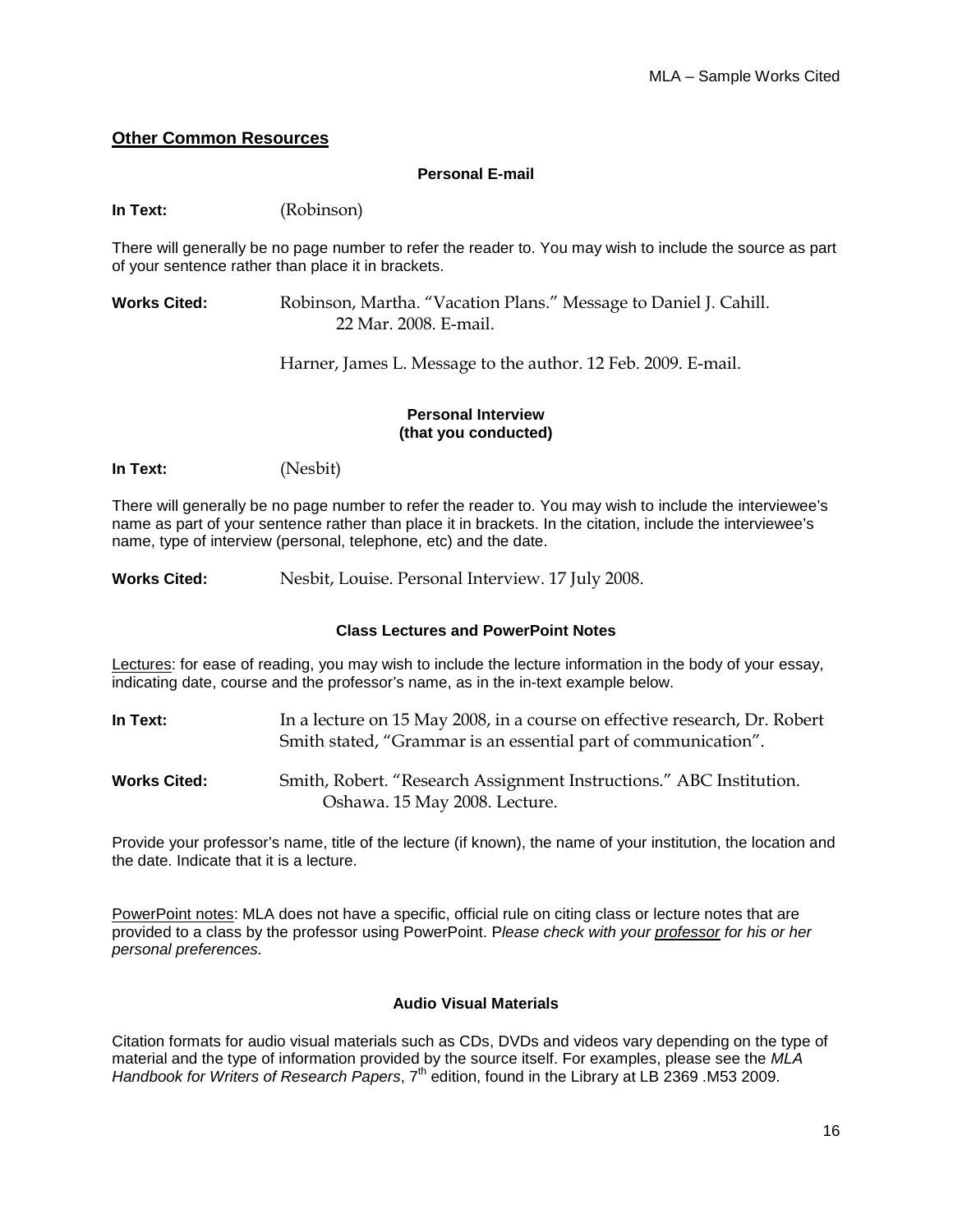# **Other Common Resources**

#### **Personal E-mail**

**In Text:** (Robinson)

There will generally be no page number to refer the reader to. You may wish to include the source as part of your sentence rather than place it in brackets.

**Works Cited:** Robinson, Martha. "Vacation Plans." Message to Daniel J. Cahill. 22 Mar. 2008. E-mail.

Harner, James L. Message to the author. 12 Feb. 2009. E-mail.

# **Personal Interview (that you conducted)**

**In Text:** (Nesbit)

There will generally be no page number to refer the reader to. You may wish to include the interviewee's name as part of your sentence rather than place it in brackets. In the citation, include the interviewee's name, type of interview (personal, telephone, etc) and the date.

**Works Cited:** Nesbit, Louise. Personal Interview. 17 July 2008.

#### **Class Lectures and PowerPoint Notes**

Lectures: for ease of reading, you may wish to include the lecture information in the body of your essay, indicating date, course and the professor's name, as in the in-text example below.

| In Text:            | In a lecture on 15 May 2008, in a course on effective research, Dr. Robert<br>Smith stated, "Grammar is an essential part of communication". |
|---------------------|----------------------------------------------------------------------------------------------------------------------------------------------|
| <b>Works Cited:</b> | Smith, Robert. "Research Assignment Instructions." ABC Institution.                                                                          |

Oshawa. 15 May 2008. Lecture.

Provide your professor's name, title of the lecture (if known), the name of your institution, the location and the date. Indicate that it is a lecture.

PowerPoint notes: MLA does not have a specific, official rule on citing class or lecture notes that are provided to a class by the professor using PowerPoint. P*lease check with your professor for his or her personal preferences.*

#### **Audio Visual Materials**

Citation formats for audio visual materials such as CDs, DVDs and videos vary depending on the type of material and the type of information provided by the source itself. For examples, please see the *MLA Handbook for Writers of Research Papers*, 7th edition, found in the Library at LB 2369 .M53 2009.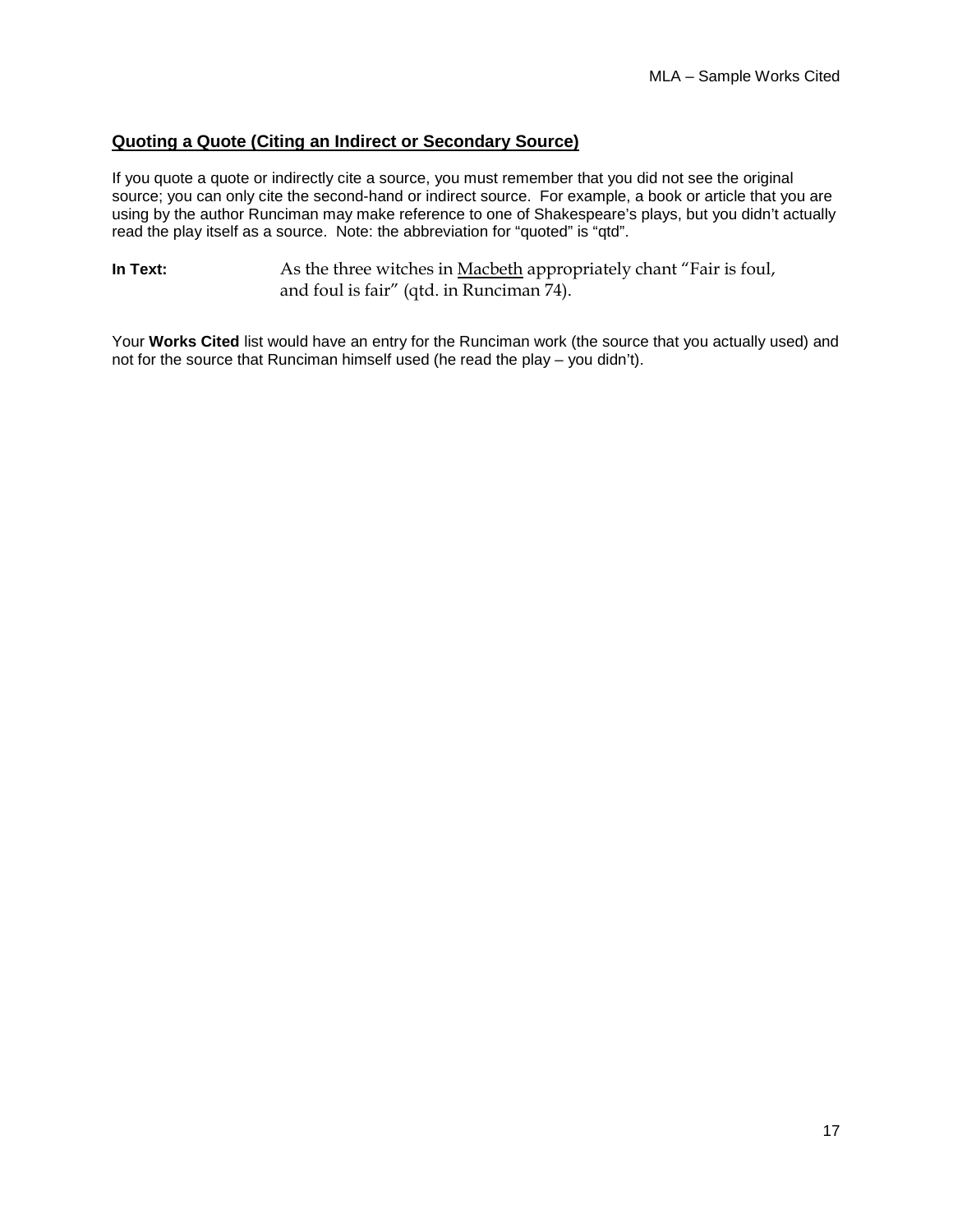# **Quoting a Quote (Citing an Indirect or Secondary Source)**

If you quote a quote or indirectly cite a source, you must remember that you did not see the original source; you can only cite the second-hand or indirect source. For example, a book or article that you are using by the author Runciman may make reference to one of Shakespeare's plays, but you didn't actually read the play itself as a source. Note: the abbreviation for "quoted" is "qtd".

**In Text:** As the three witches in **Macbeth** appropriately chant "Fair is foul, and foul is fair" (qtd. in Runciman 74).

Your **Works Cited** list would have an entry for the Runciman work (the source that you actually used) and not for the source that Runciman himself used (he read the play  $-$  you didn't).